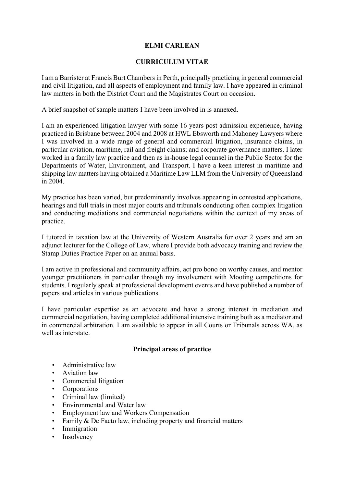### **ELMI CARLEAN**

### **CURRICULUM VITAE**

I am a Barrister at Francis Burt Chambers in Perth, principally practicing in general commercial and civil litigation, and all aspects of employment and family law. I have appeared in criminal law matters in both the District Court and the Magistrates Court on occasion.

A brief snapshot of sample matters I have been involved in is annexed.

I am an experienced litigation lawyer with some 16 years post admission experience, having practiced in Brisbane between 2004 and 2008 at HWL Ebsworth and Mahoney Lawyers where I was involved in a wide range of general and commercial litigation, insurance claims, in particular aviation, maritime, rail and freight claims; and corporate governance matters. I later worked in a family law practice and then as in-house legal counsel in the Public Sector for the Departments of Water, Environment, and Transport. I have a keen interest in maritime and shipping law matters having obtained a Maritime Law LLM from the University of Queensland in 2004.

My practice has been varied, but predominantly involves appearing in contested applications, hearings and full trials in most major courts and tribunals conducting often complex litigation and conducting mediations and commercial negotiations within the context of my areas of practice.

I tutored in taxation law at the University of Western Australia for over 2 years and am an adjunct lecturer for the College of Law, where I provide both advocacy training and review the Stamp Duties Practice Paper on an annual basis.

I am active in professional and community affairs, act pro bono on worthy causes, and mentor younger practitioners in particular through my involvement with Mooting competitions for students. I regularly speak at professional development events and have published a number of papers and articles in various publications.

I have particular expertise as an advocate and have a strong interest in mediation and commercial negotiation, having completed additional intensive training both as a mediator and in commercial arbitration. I am available to appear in all Courts or Tribunals across WA, as well as interstate.

### **Principal areas of practice**

- Administrative law
- Aviation law
- Commercial litigation
- **Corporations**
- Criminal law (limited)
- Environmental and Water law
- Employment law and Workers Compensation
- Family & De Facto law, including property and financial matters
- **Immigration**
- **Insolvency**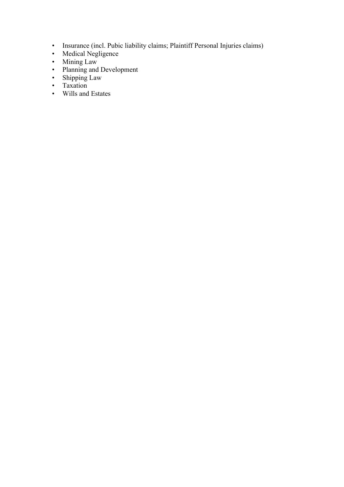- Insurance (incl. Pubic liability claims; Plaintiff Personal Injuries claims)
- Medical Negligence
- Mining Law
- Planning and Development
- Shipping Law
- Taxation
- Wills and Estates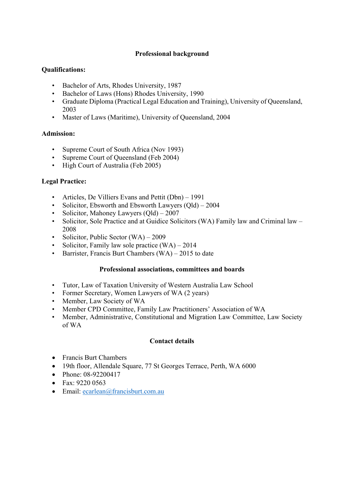#### **Professional background**

#### **Qualifications:**

- Bachelor of Arts, Rhodes University, 1987
- Bachelor of Laws (Hons) Rhodes University, 1990
- Graduate Diploma (Practical Legal Education and Training), University of Queensland, 2003
- Master of Laws (Maritime), University of Queensland, 2004

#### **Admission:**

- Supreme Court of South Africa (Nov 1993)
- Supreme Court of Queensland (Feb 2004)
- High Court of Australia (Feb 2005)

### **Legal Practice:**

- Articles, De Villiers Evans and Pettit (Dbn) 1991
- Solicitor, Ebsworth and Ebsworth Lawyers (Qld) 2004
- Solicitor, Mahoney Lawyers (Old) 2007
- Solicitor, Sole Practice and at Guidice Solicitors (WA) Family law and Criminal law 2008
- Solicitor, Public Sector (WA) 2009
- Solicitor, Family law sole practice  $(WA) 2014$
- Barrister, Francis Burt Chambers  $(WA) 2015$  to date

#### **Professional associations, committees and boards**

- Tutor, Law of Taxation University of Western Australia Law School
- Former Secretary, Women Lawyers of WA (2 years)
- Member, Law Society of WA
- Member CPD Committee, Family Law Practitioners' Association of WA
- Member, Administrative, Constitutional and Migration Law Committee, Law Society of WA

### **Contact details**

- Francis Burt Chambers
- 19th floor, Allendale Square, 77 St Georges Terrace, Perth, WA 6000
- Phone: 08-92200417
- Fax: 9220 0563
- Email: ecarlean@francisburt.com.au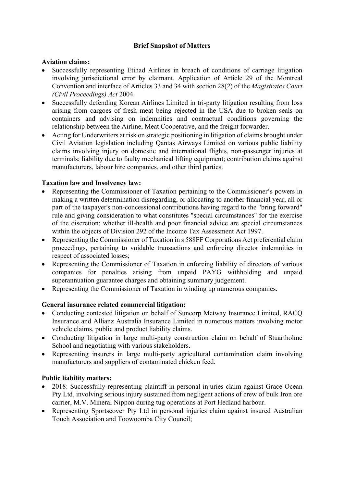## **Brief Snapshot of Matters**

#### **Aviation claims:**

- Successfully representing Etihad Airlines in breach of conditions of carriage litigation involving jurisdictional error by claimant. Application of Article 29 of the Montreal Convention and interface of Articles 33 and 34 with section 28(2) of the *Magistrates Court (Civil Proceedings) Act* 2004.
- Successfully defending Korean Airlines Limited in tri-party litigation resulting from loss arising from cargoes of fresh meat being rejected in the USA due to broken seals on containers and advising on indemnities and contractual conditions governing the relationship between the Airline, Meat Cooperative, and the freight forwarder.
- Acting for Underwriters at risk on strategic positioning in litigation of claims brought under Civil Aviation legislation including Qantas Airways Limited on various public liability claims involving injury on domestic and international flights, non-passenger injuries at terminals; liability due to faulty mechanical lifting equipment; contribution claims against manufacturers, labour hire companies, and other third parties.

### **Taxation law and Insolvency law:**

- Representing the Commissioner of Taxation pertaining to the Commissioner's powers in making a written determination disregarding, or allocating to another financial year, all or part of the taxpayer's non-concessional contributions having regard to the "bring forward" rule and giving consideration to what constitutes "special circumstances" for the exercise of the discretion; whether ill-health and poor financial advice are special circumstances within the objects of Division 292 of the Income Tax Assessment Act 1997.
- Representing the Commissioner of Taxation in s 588FF Corporations Act preferential claim proceedings, pertaining to voidable transactions and enforcing director indemnities in respect of associated losses;
- Representing the Commissioner of Taxation in enforcing liability of directors of various companies for penalties arising from unpaid PAYG withholding and unpaid superannuation guarantee charges and obtaining summary judgement.
- Representing the Commissioner of Taxation in winding up numerous companies.

### **General insurance related commercial litigation:**

- Conducting contested litigation on behalf of Suncorp Metway Insurance Limited, RACQ Insurance and Allianz Australia Insurance Limited in numerous matters involving motor vehicle claims, public and product liability claims.
- Conducting litigation in large multi-party construction claim on behalf of Stuartholme School and negotiating with various stakeholders.
- Representing insurers in large multi-party agricultural contamination claim involving manufacturers and suppliers of contaminated chicken feed.

### **Public liability matters:**

- 2018: Successfully representing plaintiff in personal injuries claim against Grace Ocean Pty Ltd, involving serious injury sustained from negligent actions of crew of bulk Iron ore carrier, M.V. Mineral Nippon during tug operations at Port Hedland harbour.
- Representing Sportscover Pty Ltd in personal injuries claim against insured Australian Touch Association and Toowoomba City Council;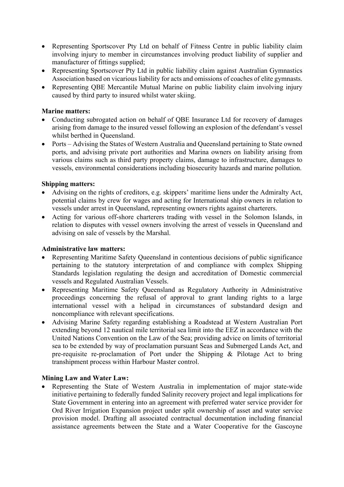- Representing Sportscover Pty Ltd on behalf of Fitness Centre in public liability claim involving injury to member in circumstances involving product liability of supplier and manufacturer of fittings supplied;
- Representing Sportscover Pty Ltd in public liability claim against Australian Gymnastics Association based on vicarious liability for acts and omissions of coaches of elite gymnasts.
- Representing OBE Mercantile Mutual Marine on public liability claim involving injury caused by third party to insured whilst water skiing.

#### **Marine matters:**

- Conducting subrogated action on behalf of OBE Insurance Ltd for recovery of damages arising from damage to the insured vessel following an explosion of the defendant's vessel whilst berthed in Queensland.
- Ports Advising the States of Western Australia and Queensland pertaining to State owned ports, and advising private port authorities and Marina owners on liability arising from various claims such as third party property claims, damage to infrastructure, damages to vessels, environmental considerations including biosecurity hazards and marine pollution.

#### **Shipping matters:**

- Advising on the rights of creditors, e.g. skippers' maritime liens under the Admiralty Act, potential claims by crew for wages and acting for International ship owners in relation to vessels under arrest in Queensland, representing owners rights against charterers.
- Acting for various off-shore charterers trading with vessel in the Solomon Islands, in relation to disputes with vessel owners involving the arrest of vessels in Queensland and advising on sale of vessels by the Marshal.

#### **Administrative law matters:**

- Representing Maritime Safety Queensland in contentious decisions of public significance pertaining to the statutory interpretation of and compliance with complex Shipping Standards legislation regulating the design and accreditation of Domestic commercial vessels and Regulated Australian Vessels.
- Representing Maritime Safety Queensland as Regulatory Authority in Administrative proceedings concerning the refusal of approval to grant landing rights to a large international vessel with a helipad in circumstances of substandard design and noncompliance with relevant specifications.
- Advising Marine Safety regarding establishing a Roadstead at Western Australian Port extending beyond 12 nautical mile territorial sea limit into the EEZ in accordance with the United Nations Convention on the Law of the Sea; providing advice on limits of territorial sea to be extended by way of proclamation pursuant Seas and Submerged Lands Act, and pre-requisite re-proclamation of Port under the Shipping & Pilotage Act to bring transhipment process within Harbour Master control.

### **Mining Law and Water Law:**

• Representing the State of Western Australia in implementation of major state-wide initiative pertaining to federally funded Salinity recovery project and legal implications for State Government in entering into an agreement with preferred water service provider for Ord River Irrigation Expansion project under split ownership of asset and water service provision model. Drafting all associated contractual documentation including financial assistance agreements between the State and a Water Cooperative for the Gascoyne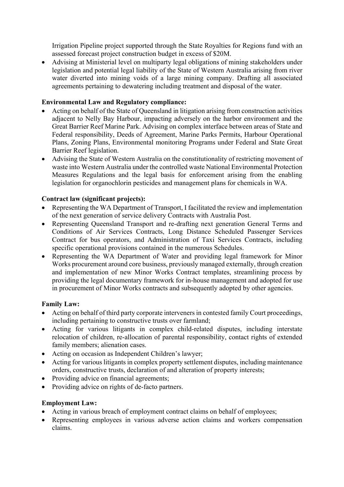Irrigation Pipeline project supported through the State Royalties for Regions fund with an assessed forecast project construction budget in excess of \$20M.

• Advising at Ministerial level on multiparty legal obligations of mining stakeholders under legislation and potential legal liability of the State of Western Australia arising from river water diverted into mining voids of a large mining company. Drafting all associated agreements pertaining to dewatering including treatment and disposal of the water.

# **Environmental Law and Regulatory compliance:**

- Acting on behalf of the State of Queensland in litigation arising from construction activities adjacent to Nelly Bay Harbour, impacting adversely on the harbor environment and the Great Barrier Reef Marine Park. Advising on complex interface between areas of State and Federal responsibility, Deeds of Agreement, Marine Parks Permits, Harbour Operational Plans, Zoning Plans, Environmental monitoring Programs under Federal and State Great Barrier Reef legislation.
- Advising the State of Western Australia on the constitutionality of restricting movement of waste into Western Australia under the controlled waste National Environmental Protection Measures Regulations and the legal basis for enforcement arising from the enabling legislation for organochlorin pesticides and management plans for chemicals in WA.

### **Contract law (significant projects):**

- Representing the WA Department of Transport, I facilitated the review and implementation of the next generation of service delivery Contracts with Australia Post.
- Representing Queensland Transport and re-drafting next generation General Terms and Conditions of Air Services Contracts, Long Distance Scheduled Passenger Services Contract for bus operators, and Administration of Taxi Services Contracts, including specific operational provisions contained in the numerous Schedules.
- Representing the WA Department of Water and providing legal framework for Minor Works procurement around core business, previously managed externally, through creation and implementation of new Minor Works Contract templates, streamlining process by providing the legal documentary framework for in-house management and adopted for use in procurement of Minor Works contracts and subsequently adopted by other agencies.

### **Family Law:**

- Acting on behalf of third party corporate interveners in contested family Court proceedings, including pertaining to constructive trusts over farmland;
- Acting for various litigants in complex child-related disputes, including interstate relocation of children, re-allocation of parental responsibility, contact rights of extended family members; alienation cases.
- Acting on occasion as Independent Children's lawyer;
- Acting for various litigants in complex property settlement disputes, including maintenance orders, constructive trusts, declaration of and alteration of property interests;
- Providing advice on financial agreements;
- Providing advice on rights of de-facto partners.

### **Employment Law:**

- Acting in various breach of employment contract claims on behalf of employees;
- Representing employees in various adverse action claims and workers compensation claims.